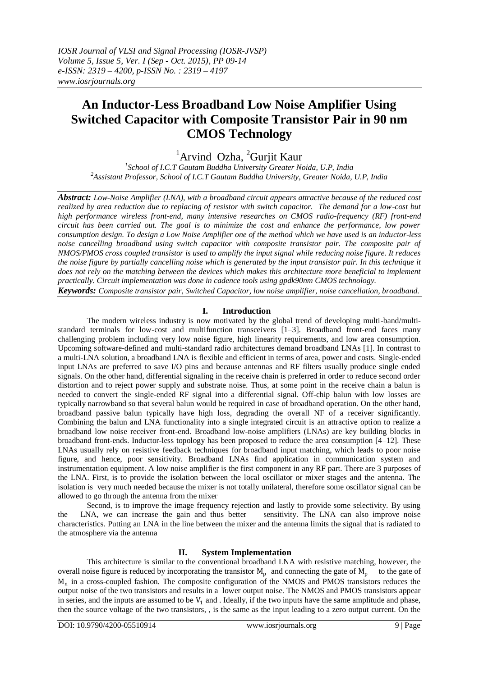# **An Inductor-Less Broadband Low Noise Amplifier Using Switched Capacitor with Composite Transistor Pair in 90 nm CMOS Technology**

<sup>1</sup>Arvind Ozha, <sup>2</sup>Gurjit Kaur

*1 School of I.C.T Gautam Buddha University Greater Noida, U.P, India <sup>2</sup>Assistant Professor, School of I.C.T Gautam Buddha University, Greater Noida, U.P, India*

*Abstract: Low-Noise Amplifier (LNA), with a broadband circuit appears attractive because of the reduced cost realized by area reduction due to replacing of resistor with switch capacitor. The demand for a low-cost but high performance wireless front-end, many intensive researches on CMOS radio-frequency (RF) front-end circuit has been carried out. The goal is to minimize the cost and enhance the performance, low power consumption design. To design a Low Noise Amplifier one of the method which we have used is an inductor-less noise cancelling broadband using switch capacitor with composite transistor pair. The composite pair of NMOS/PMOS cross coupled transistor is used to amplify the input signal while reducing noise figure. It reduces the noise figure by partially cancelling noise which is generated by the input transistor pair. In this technique it*  does not rely on the matching between the devices which makes this architecture more beneficial to implement *practically. Circuit implementation was done in cadence tools using gpdk90nm CMOS technology.*

*Keywords: Composite transistor pair, Switched Capacitor, low noise amplifier, noise cancellation, broadband.*

# **I. Introduction**

The modern wireless industry is now motivated by the global trend of developing multi-band/multistandard terminals for low-cost and multifunction transceivers [1–3]. Broadband front-end faces many challenging problem including very low noise figure, high linearity requirements, and low area consumption. Upcoming software-defined and multi-standard radio architectures demand broadband LNAs [1]. In contrast to a multi-LNA solution, a broadband LNA is flexible and efficient in terms of area, power and costs. Single-ended input LNAs are preferred to save I/O pins and because antennas and RF filters usually produce single ended signals. On the other hand, differential signaling in the receive chain is preferred in order to reduce second order distortion and to reject power supply and substrate noise. Thus, at some point in the receive chain a balun is needed to convert the single-ended RF signal into a differential signal. Off-chip balun with low losses are typically narrowband so that several balun would be required in case of broadband operation. On the other hand, broadband passive balun typically have high loss, degrading the overall NF of a receiver significantly. Combining the balun and LNA functionality into a single integrated circuit is an attractive option to realize a broadband low noise receiver front-end. Broadband low-noise amplifiers (LNAs) are key building blocks in broadband front-ends. Inductor-less topology has been proposed to reduce the area consumption [4–12]. These LNAs usually rely on resistive feedback techniques for broadband input matching, which leads to poor noise figure, and hence, poor sensitivity. Broadband LNAs find application in communication system and instrumentation equipment. A low noise amplifier is the first component in any RF part. There are 3 purposes of the LNA. First, is to provide the isolation between the local oscillator or mixer stages and the antenna. The isolation is very much needed because the mixer is not totally unilateral, therefore some oscillator signal can be allowed to go through the antenna from the mixer

Second, is to improve the image frequency rejection and lastly to provide some selectivity. By using the LNA, we can increase the gain and thus better sensitivity. The LNA can also improve noise characteristics. Putting an LNA in the line between the mixer and the antenna limits the signal that is radiated to the atmosphere via the antenna

## **II. System Implementation**

This architecture is similar to the conventional broadband LNA with resistive matching, however, the overall noise figure is reduced by incorporating the transistor  $M_p$  and connecting the gate of  $M_p$  to the gate of M<sup>n</sup> in a cross-coupled fashion. The composite configuration of the NMOS and PMOS transistors reduces the output noise of the two transistors and results in a lower output noise. The NMOS and PMOS transistors appear in series, and the inputs are assumed to be  $V_1$  and . Ideally, if the two inputs have the same amplitude and phase, then the source voltage of the two transistors, , is the same as the input leading to a zero output current. On the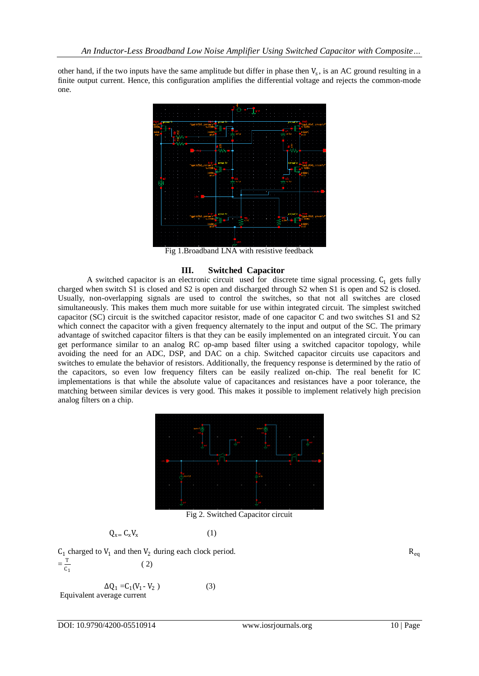other hand, if the two inputs have the same amplitude but differ in phase then  $V_s$ , is an AC ground resulting in a finite output current. Hence, this configuration amplifies the differential voltage and rejects the common-mode one.



Fig 1.Broadband LNA with resistive feedback

## **III. Switched Capacitor**

A switched capacitor is an electronic circuit used for discrete time signal processing.  $C_1$  gets fully charged when switch S1 is closed and S2 is open and discharged through S2 when S1 is open and S2 is closed. Usually, non-overlapping signals are used to control the switches, so that not all switches are closed simultaneously. This makes them much more suitable for use within integrated circuit. The simplest switched capacitor (SC) circuit is the switched capacitor resistor, made of one capacitor C and two switches S1 and S2 which connect the capacitor with a given frequency alternately to the input and output of the SC. The primary advantage of switched capacitor filters is that they can be easily implemented on an integrated circuit. You can get performance similar to an analog RC op-amp based filter using a switched capacitor topology, while avoiding the need for an ADC, DSP, and DAC on a chip. Switched capacitor circuits use capacitors and switches to emulate the behavior of resistors. Additionally, the frequency response is determined by the ratio of the capacitors, so even low frequency filters can be easily realized on-chip. The real benefit for IC implementations is that while the absolute value of capacitances and resistances have a poor tolerance, the matching between similar devices is very good. This makes it possible to implement relatively high precision analog filters on a chip.



Fig 2. Switched Capacitor circuit

$$
Q_{x=} C_x V_x \tag{1}
$$

 $C_1$  charged to  $V_1$  and then  $V_2$  during each clock period.  $R_{eq}$  $=\frac{T}{C}$  $\frac{1}{c_1}$  (2)

$$
\Delta Q_1 = C_1(V_1 - V_2)
$$
 (3)  
Equivalent average current

DOI: 10.9790/4200-05510914 www.iosrjournals.org 10 | Page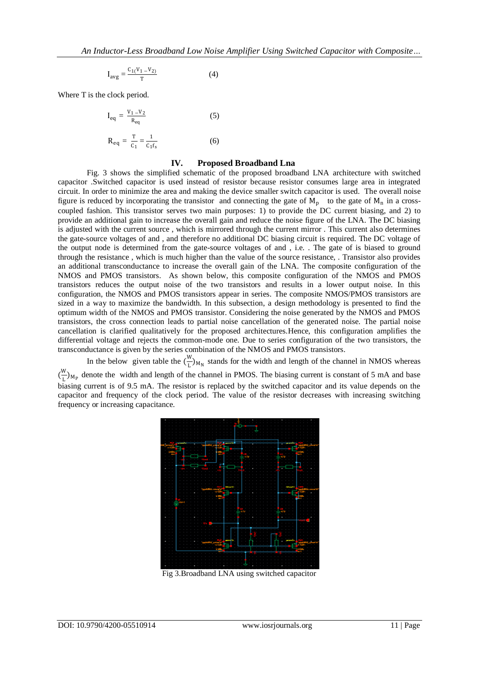$$
I_{avg} = \frac{C_1(V_1 - V_2)}{T}
$$
 (4)

Where T is the clock period.

$$
I_{eq} = \frac{V_1 - V_2}{R_{eq}} \tag{5}
$$

$$
R_{eq} = \frac{T}{C_1} = \frac{1}{C_1 f_s}
$$
 (6)

## **IV. Proposed Broadband Lna**

Fig. 3 shows the simplified schematic of the proposed broadband LNA architecture with switched capacitor .Switched capacitor is used instead of resistor because resistor consumes large area in integrated circuit. In order to minimize the area and making the device smaller switch capacitor is used. The overall noise figure is reduced by incorporating the transistor and connecting the gate of  $M_p$  to the gate of  $M_n$  in a crosscoupled fashion. This transistor serves two main purposes: 1) to provide the DC current biasing, and 2) to provide an additional gain to increase the overall gain and reduce the noise figure of the LNA. The DC biasing is adjusted with the current source , which is mirrored through the current mirror . This current also determines the gate-source voltages of and , and therefore no additional DC biasing circuit is required. The DC voltage of the output node is determined from the gate-source voltages of and , i.e. . The gate of is biased to ground through the resistance , which is much higher than the value of the source resistance, . Transistor also provides an additional transconductance to increase the overall gain of the LNA. The composite configuration of the NMOS and PMOS transistors. As shown below, this composite configuration of the NMOS and PMOS transistors reduces the output noise of the two transistors and results in a lower output noise. In this configuration, the NMOS and PMOS transistors appear in series. The composite NMOS/PMOS transistors are sized in a way to maximize the bandwidth. In this subsection, a design methodology is presented to find the optimum width of the NMOS and PMOS transistor. Considering the noise generated by the NMOS and PMOS transistors, the cross connection leads to partial noise cancellation of the generated noise. The partial noise cancellation is clarified qualitatively for the proposed architectures.Hence, this configuration amplifies the differential voltage and rejects the common-mode one. Due to series configuration of the two transistors, the transconductance is given by the series combination of the NMOS and PMOS transistors.

In the below given table the  $\left(\frac{W}{I}\right)$  $\frac{M}{L}_{\text{M}_\text{N}}$  stands for the width and length of the channel in NMOS whereas  $\left(\frac{W}{I}\right)$  $\frac{M}{L}$ <sub>M<sub>P</sub></sub> denote the width and length of the channel in PMOS. The biasing current is constant of 5 mA and base biasing current is of 9.5 mA. The resistor is replaced by the switched capacitor and its value depends on the capacitor and frequency of the clock period. The value of the resistor decreases with increasing switching frequency or increasing capacitance.



Fig 3.Broadband LNA using switched capacitor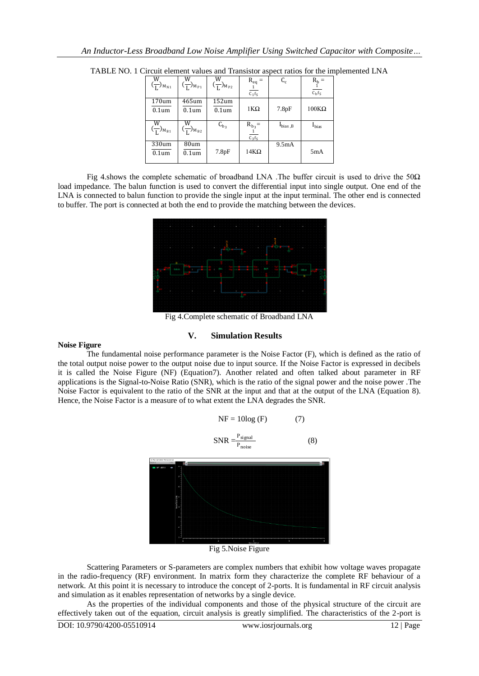| $\left(\frac{W}{L}\right)_{M_{N1}}$ | $\left(\frac{W}{L}\right)_{M_{P1}}$ | $\overline{\frac{W}{L}}$ <sub>M<sub>P2</sub></sub> | $R_{eq} =$<br>$\frac{1}{C_1 f_S}$ | $C_c$        | $\frac{R_b}{\frac{1}{C_b f_S}} =$ |
|-------------------------------------|-------------------------------------|----------------------------------------------------|-----------------------------------|--------------|-----------------------------------|
| 170um<br>0.1 <sub>um</sub>          | 465um<br>0.1 <sub>um</sub>          | $152$ um<br>0.1 <sub>um</sub>                      | $1K\Omega$                        | 7.8pF        | $100K\Omega$                      |
| $\left(\frac{W}{L}\right)_{M_{B1}}$ | $\left(\frac{W}{L}\right)_{M_{B2}}$ | $C_{b_3}$                                          | $R_{b_3} =$<br>$C_3f_S$           | $I_{bias,B}$ | $I_{bias}$                        |
| 330um<br>0.1 <sub>um</sub>          | 80um<br>0.1 <sub>um</sub>           | 7.8pF                                              | $14K\Omega$                       | 9.5mA        | 5mA                               |

TABLE NO. 1 Circuit element values and Transistor aspect ratios for the implemented LNA

Fig 4.shows the complete schematic of broadband LNA .The buffer circuit is used to drive the 50 $\Omega$ load impedance. The balun function is used to convert the differential input into single output. One end of the LNA is connected to balun function to provide the single input at the input terminal. The other end is connected to buffer. The port is connected at both the end to provide the matching between the devices.



Fig 4.Complete schematic of Broadband LNA

# **V. Simulation Results**

### **Noise Figure**

The fundamental noise performance parameter is the Noise Factor (F), which is defined as the ratio of the total output noise power to the output noise due to input source. If the Noise Factor is expressed in decibels it is called the Noise Figure (NF) (Equation7). Another related and often talked about parameter in RF applications is the Signal-to-Noise Ratio (SNR), which is the ratio of the signal power and the noise power .The Noise Factor is equivalent to the ratio of the SNR at the input and that at the output of the LNA (Equation 8). Hence, the Noise Factor is a measure of to what extent the LNA degrades the SNR.

$$
NF = 10log (F) \tag{7}
$$

$$
SNR = \frac{P_{signal}}{P_{noise}}
$$
 (8)



Fig 5.Noise Figure

Scattering Parameters or S-parameters are complex numbers that exhibit how voltage waves propagate in the radio-frequency (RF) environment. In matrix form they characterize the complete RF behaviour of a network. At this point it is necessary to introduce the concept of 2-ports. It is fundamental in RF circuit analysis and simulation as it enables representation of networks by a single device.

As the properties of the individual components and those of the physical structure of the circuit are effectively taken out of the equation, circuit analysis is greatly simplified. The characteristics of the 2-port is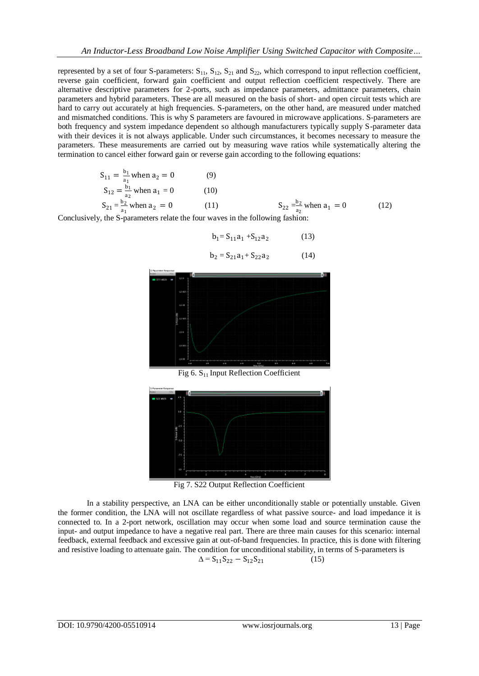represented by a set of four S-parameters:  $S_{11}$ ,  $S_{12}$ ,  $S_{21}$  and  $S_{22}$ , which correspond to input reflection coefficient, reverse gain coefficient, forward gain coefficient and output reflection coefficient respectively. There are alternative descriptive parameters for 2-ports, such as impedance parameters, admittance parameters, chain parameters and hybrid parameters. These are all measured on the basis of short- and open circuit tests which are hard to carry out accurately at high frequencies. S-parameters, on the other hand, are measured under matched and mismatched conditions. This is why S parameters are favoured in microwave applications. S-parameters are both frequency and system impedance dependent so although manufacturers typically supply S-parameter data with their devices it is not always applicable. Under such circumstances, it becomes necessary to measure the parameters. These measurements are carried out by measuring wave ratios while systematically altering the termination to cancel either forward gain or reverse gain according to the following equations:

$$
S_{11} = \frac{b_1}{a_1} \text{ when } a_2 = 0 \tag{9}
$$
  
\n
$$
S_{12} = \frac{b_1}{a_2} \text{ when } a_1 = 0 \tag{10}
$$
  
\n
$$
S_{21} = \frac{b_2}{a_1} \text{ when } a_2 = 0 \tag{11}
$$
  
\n
$$
S_{12} = \frac{b_2}{a_2} \text{ when } a_1 = 0 \tag{12}
$$

Conclusively, the S-parameters relate the four waves in the following fashion:

$$
b_1 = S_{11}a_1 + S_{12}a_2 \tag{13}
$$

$$
b_2 = S_{21}a_1 + S_{22}a_2 \tag{14}
$$



Fig  $6. S_{11}$  Input Reflection Coefficient



Fig 7. S22 Output Reflection Coefficient

In a stability perspective, an LNA can be either unconditionally stable or potentially unstable. Given the former condition, the LNA will not oscillate regardless of what passive source- and load impedance it is connected to. In a 2-port network, oscillation may occur when some load and source termination cause the input- and output impedance to have a negative real part. There are three main causes for this scenario: internal feedback, external feedback and excessive gain at out-of-band frequencies. In practice, this is done with filtering and resistive loading to attenuate gain. The condition for unconditional stability, in terms of S-parameters is

$$
\Delta = S_{11} S_{22} - S_{12} S_{21} \tag{15}
$$